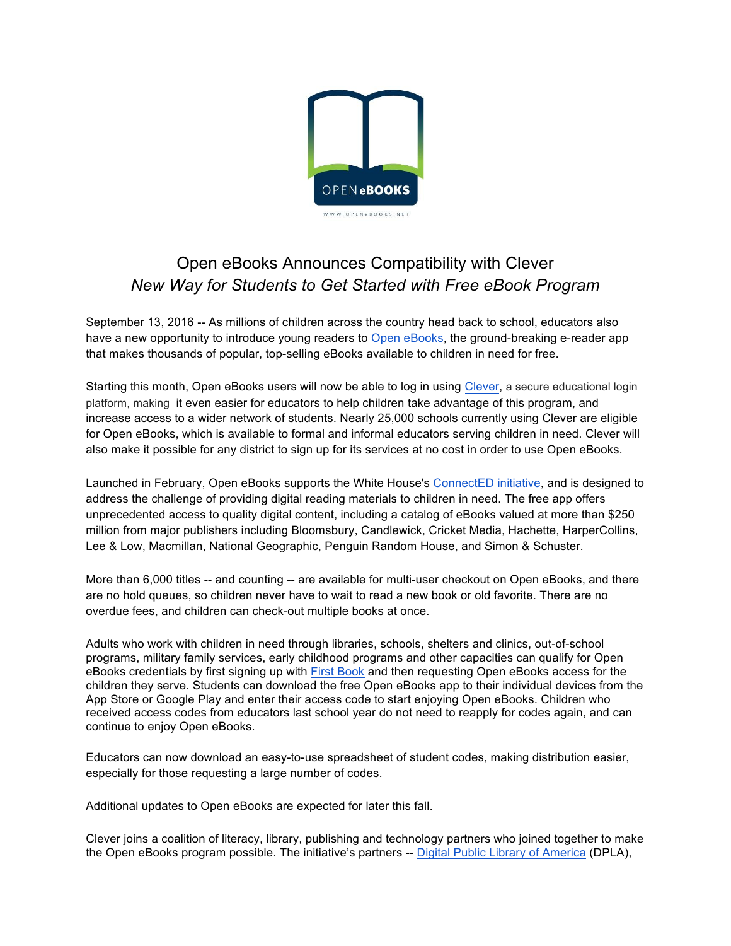

# Open eBooks Announces Compatibility with Clever *New Way for Students to Get Started with Free eBook Program*

September 13, 2016 -- As millions of children across the country head back to school, educators also have a new opportunity to introduce young readers to Open eBooks, the ground-breaking e-reader app that makes thousands of popular, top-selling eBooks available to children in need for free.

Starting this month, Open eBooks users will now be able to log in using Clever, a secure educational login platform, making it even easier for educators to help children take advantage of this program, and increase access to a wider network of students. Nearly 25,000 schools currently using Clever are eligible for Open eBooks, which is available to formal and informal educators serving children in need. Clever will also make it possible for any district to sign up for its services at no cost in order to use Open eBooks.

Launched in February, Open eBooks supports the White House's ConnectED initiative, and is designed to address the challenge of providing digital reading materials to children in need. The free app offers unprecedented access to quality digital content, including a catalog of eBooks valued at more than \$250 million from major publishers including Bloomsbury, Candlewick, Cricket Media, Hachette, HarperCollins, Lee & Low, Macmillan, National Geographic, Penguin Random House, and Simon & Schuster.

More than 6,000 titles -- and counting -- are available for multi-user checkout on Open eBooks, and there are no hold queues, so children never have to wait to read a new book or old favorite. There are no overdue fees, and children can check-out multiple books at once.

Adults who work with children in need through libraries, schools, shelters and clinics, out-of-school programs, military family services, early childhood programs and other capacities can qualify for Open eBooks credentials by first signing up with First Book and then requesting Open eBooks access for the children they serve. Students can download the free Open eBooks app to their individual devices from the App Store or Google Play and enter their access code to start enjoying Open eBooks. Children who received access codes from educators last school year do not need to reapply for codes again, and can continue to enjoy Open eBooks.

Educators can now download an easy-to-use spreadsheet of student codes, making distribution easier, especially for those requesting a large number of codes.

Additional updates to Open eBooks are expected for later this fall.

Clever joins a coalition of literacy, library, publishing and technology partners who joined together to make the Open eBooks program possible. The initiative's partners -- Digital Public Library of America (DPLA),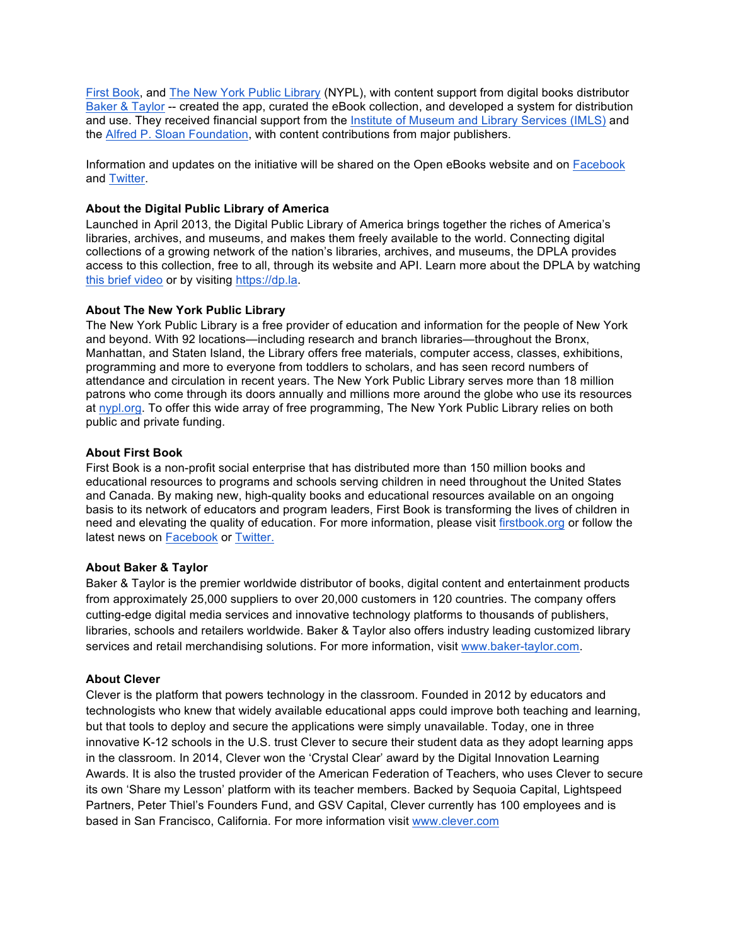First Book, and The New York Public Library (NYPL), with content support from digital books distributor Baker & Taylor -- created the app, curated the eBook collection, and developed a system for distribution and use. They received financial support from the Institute of Museum and Library Services (IMLS) and the Alfred P. Sloan Foundation, with content contributions from major publishers.

Information and updates on the initiative will be shared on the Open eBooks website and on Facebook and Twitter.

## **About the Digital Public Library of America**

Launched in April 2013, the Digital Public Library of America brings together the riches of America's libraries, archives, and museums, and makes them freely available to the world. Connecting digital collections of a growing network of the nation's libraries, archives, and museums, the DPLA provides access to this collection, free to all, through its website and API. Learn more about the DPLA by watching this brief video or by visiting https://dp.la.

## **About The New York Public Library**

The New York Public Library is a free provider of education and information for the people of New York and beyond. With 92 locations—including research and branch libraries—throughout the Bronx, Manhattan, and Staten Island, the Library offers free materials, computer access, classes, exhibitions, programming and more to everyone from toddlers to scholars, and has seen record numbers of attendance and circulation in recent years. The New York Public Library serves more than 18 million patrons who come through its doors annually and millions more around the globe who use its resources at nypl.org. To offer this wide array of free programming, The New York Public Library relies on both public and private funding.

## **About First Book**

First Book is a non-profit social enterprise that has distributed more than 150 million books and educational resources to programs and schools serving children in need throughout the United States and Canada. By making new, high-quality books and educational resources available on an ongoing basis to its network of educators and program leaders, First Book is transforming the lives of children in need and elevating the quality of education. For more information, please visit firstbook.org or follow the latest news on Facebook or Twitter.

## **About Baker & Taylor**

Baker & Taylor is the premier worldwide distributor of books, digital content and entertainment products from approximately 25,000 suppliers to over 20,000 customers in 120 countries. The company offers cutting-edge digital media services and innovative technology platforms to thousands of publishers, libraries, schools and retailers worldwide. Baker & Taylor also offers industry leading customized library services and retail merchandising solutions. For more information, visit www.baker-taylor.com.

## **About Clever**

Clever is the platform that powers technology in the classroom. Founded in 2012 by educators and technologists who knew that widely available educational apps could improve both teaching and learning, but that tools to deploy and secure the applications were simply unavailable. Today, one in three innovative K-12 schools in the U.S. trust Clever to secure their student data as they adopt learning apps in the classroom. In 2014, Clever won the 'Crystal Clear' award by the Digital Innovation Learning Awards. It is also the trusted provider of the American Federation of Teachers, who uses Clever to secure its own 'Share my Lesson' platform with its teacher members. Backed by Sequoia Capital, Lightspeed Partners, Peter Thiel's Founders Fund, and GSV Capital, Clever currently has 100 employees and is based in San Francisco, California. For more information visit www.clever.com